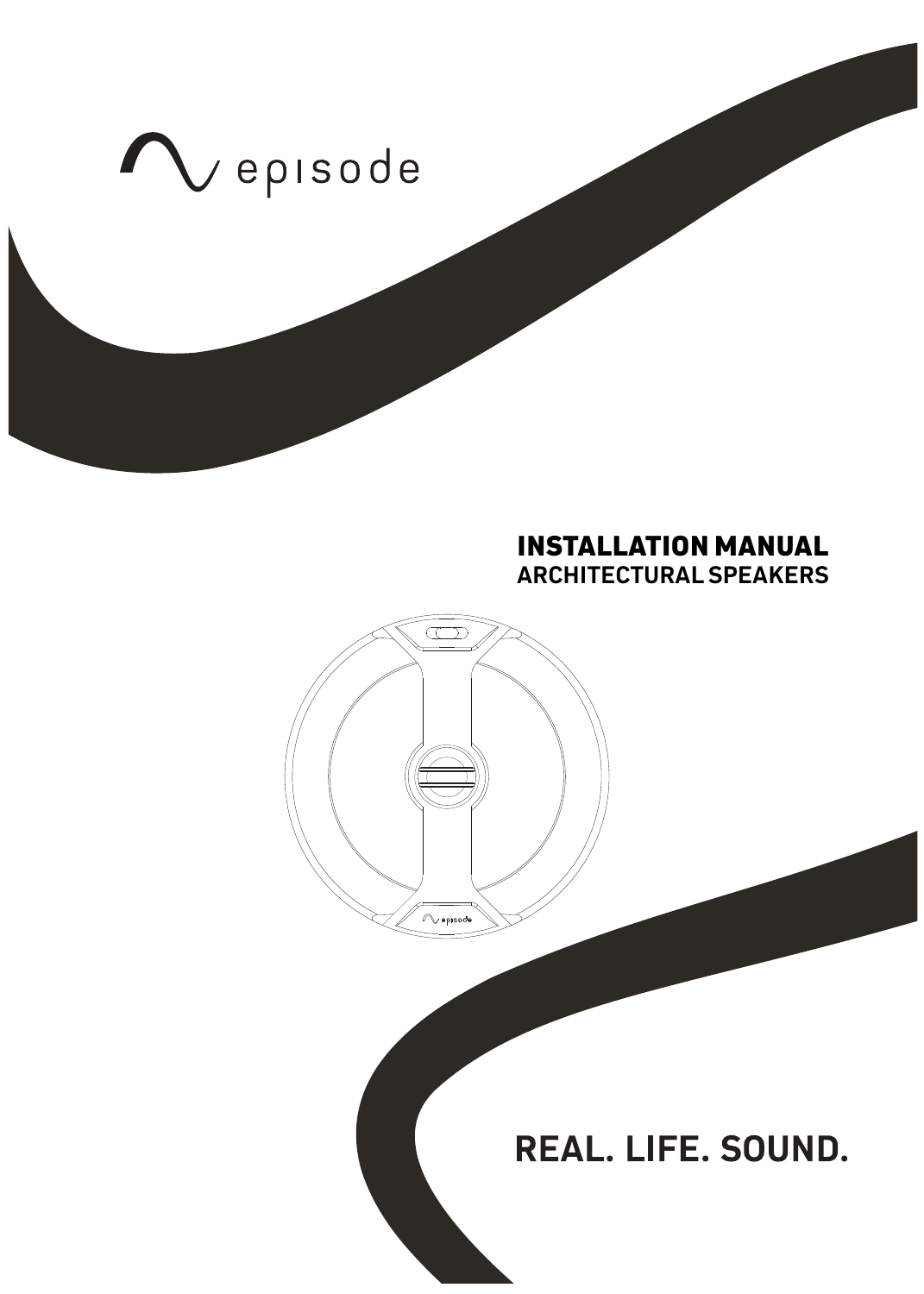

# **INSTALLATION MANUAL ARCHITECTURAL SPEAKERS**

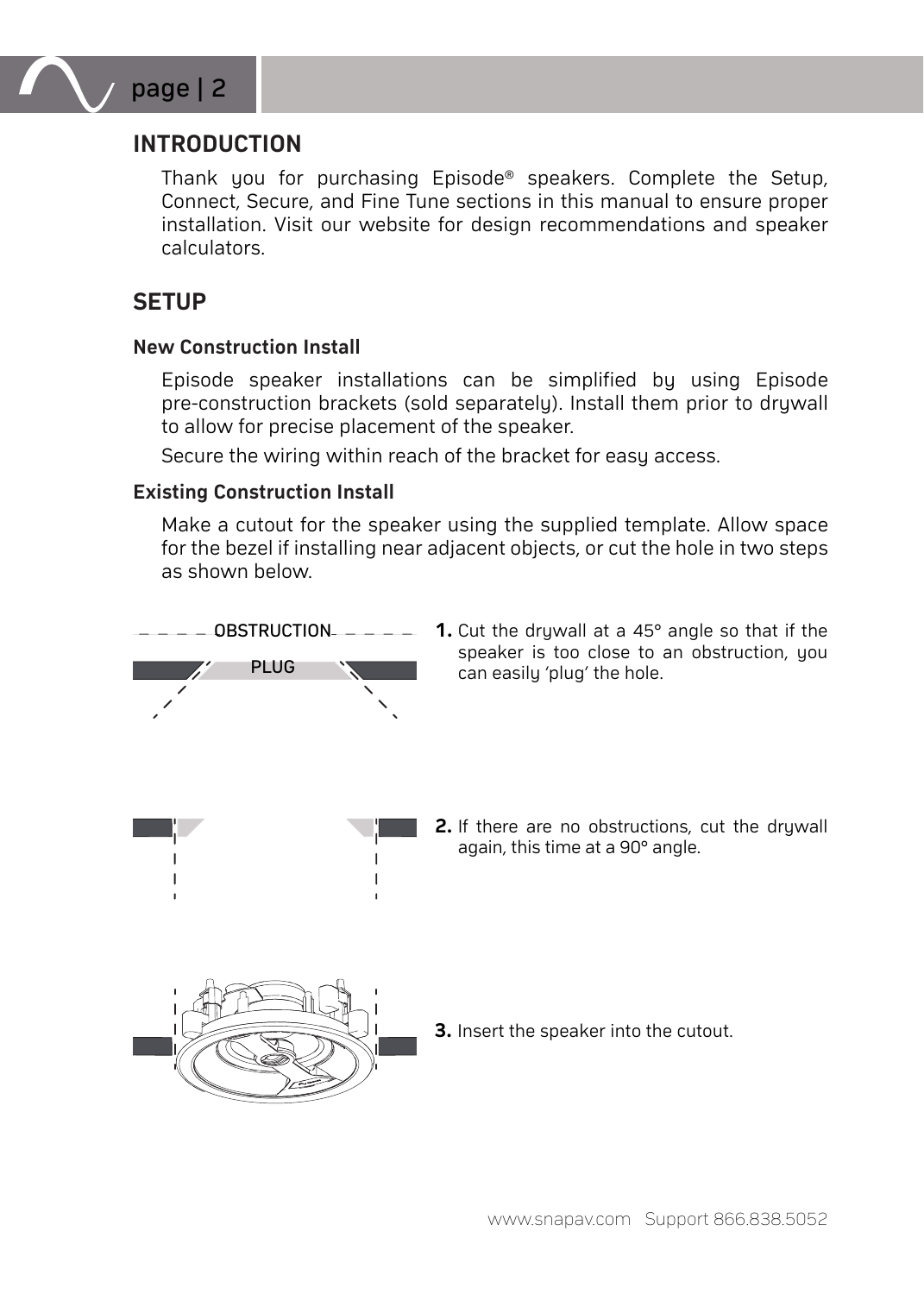

# **INTRODUCTION**

Thank you for purchasing Episode® speakers. Complete the Setup, Connect, Secure, and Fine Tune sections in this manual to ensure proper installation. Visit our website for design recommendations and speaker calculators.

# **SETUP**

#### **New Construction Install**

Episode speaker installations can be simplified by using Episode pre-construction brackets (sold separately). Install them prior to druwall to allow for precise placement of the speaker.

Secure the wiring within reach of the bracket for easy access.

#### **Existing Construction Install**

Make a cutout for the speaker using the supplied template. Allow space for the bezel if installing near adjacent objects, or cut the hole in two steps as shown below.



**1.** Cut the drywall at a 45° angle so that if the speaker is too close to an obstruction, you can easily 'plug' the hole.

**2.** If there are no obstructions, cut the druwall again, this time at a 90° angle.



**3.** Insert the speaker into the cutout.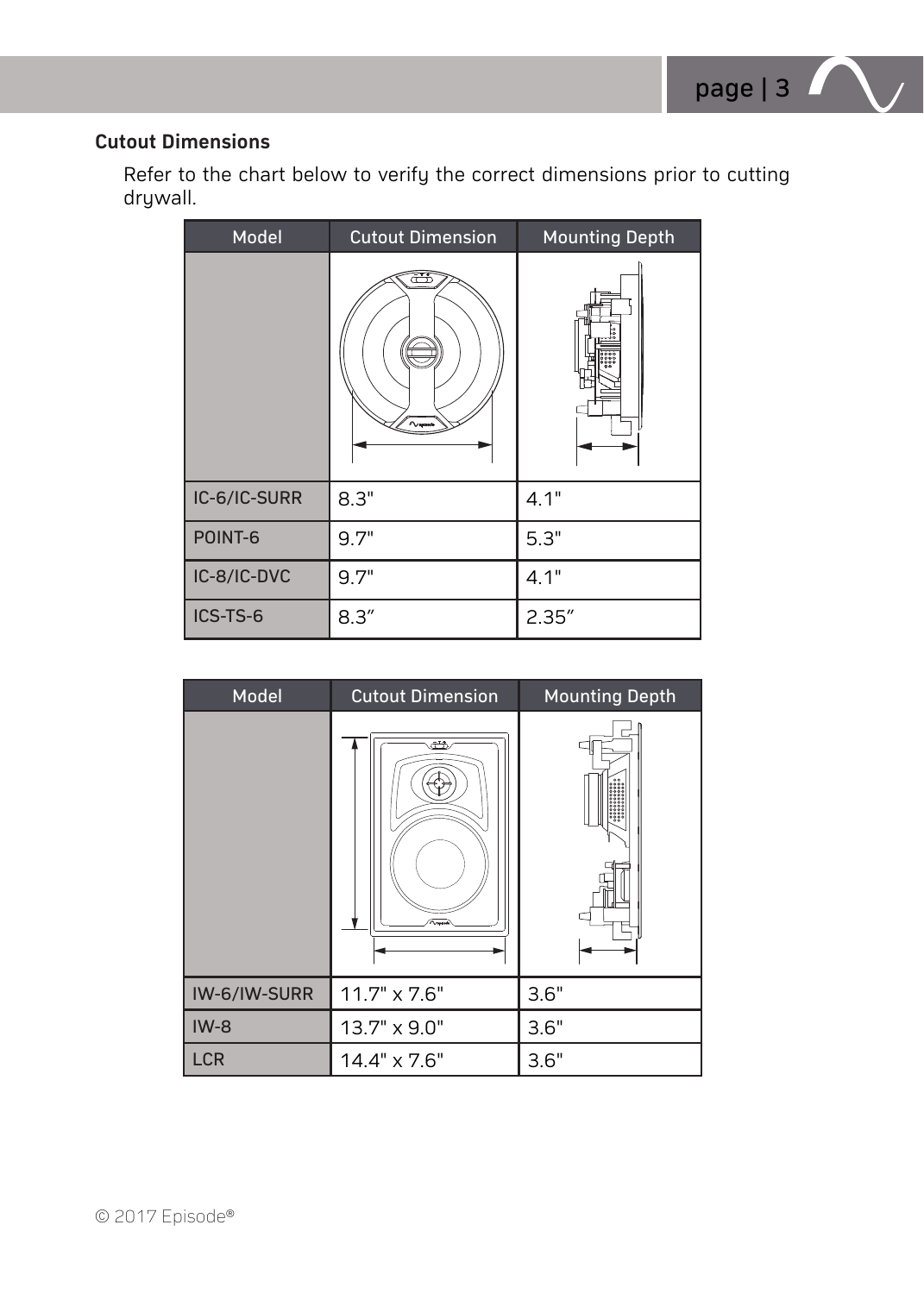### **Cutout Dimensions**

Refer to the chart below to verify the correct dimensions prior to cutting drywall.

| Model        | <b>Cutout Dimension</b> | <b>Mounting Depth</b> |  |  |
|--------------|-------------------------|-----------------------|--|--|
|              | $\sim$                  |                       |  |  |
| IC-6/IC-SURR | 8.3"                    | 4.1"                  |  |  |
| POINT-6      | 9.7"                    | 5.3"                  |  |  |
| IC-8/IC-DVC  | 9.7"                    | 4.1"                  |  |  |
| ICS-TS-6     | 8.3''                   | 2.35''                |  |  |

| Model        | <b>Cutout Dimension</b> | <b>Mounting Depth</b> |  |  |
|--------------|-------------------------|-----------------------|--|--|
|              | رئن<br>$\sim$           |                       |  |  |
| IW-6/IW-SURR | $11.7" \times 7.6"$     | 3.6"                  |  |  |
| $IW-8$       | 13.7" x 9.0"            | 3.6"                  |  |  |
| <b>LCR</b>   | 14.4" x 7.6"            | 3.6"                  |  |  |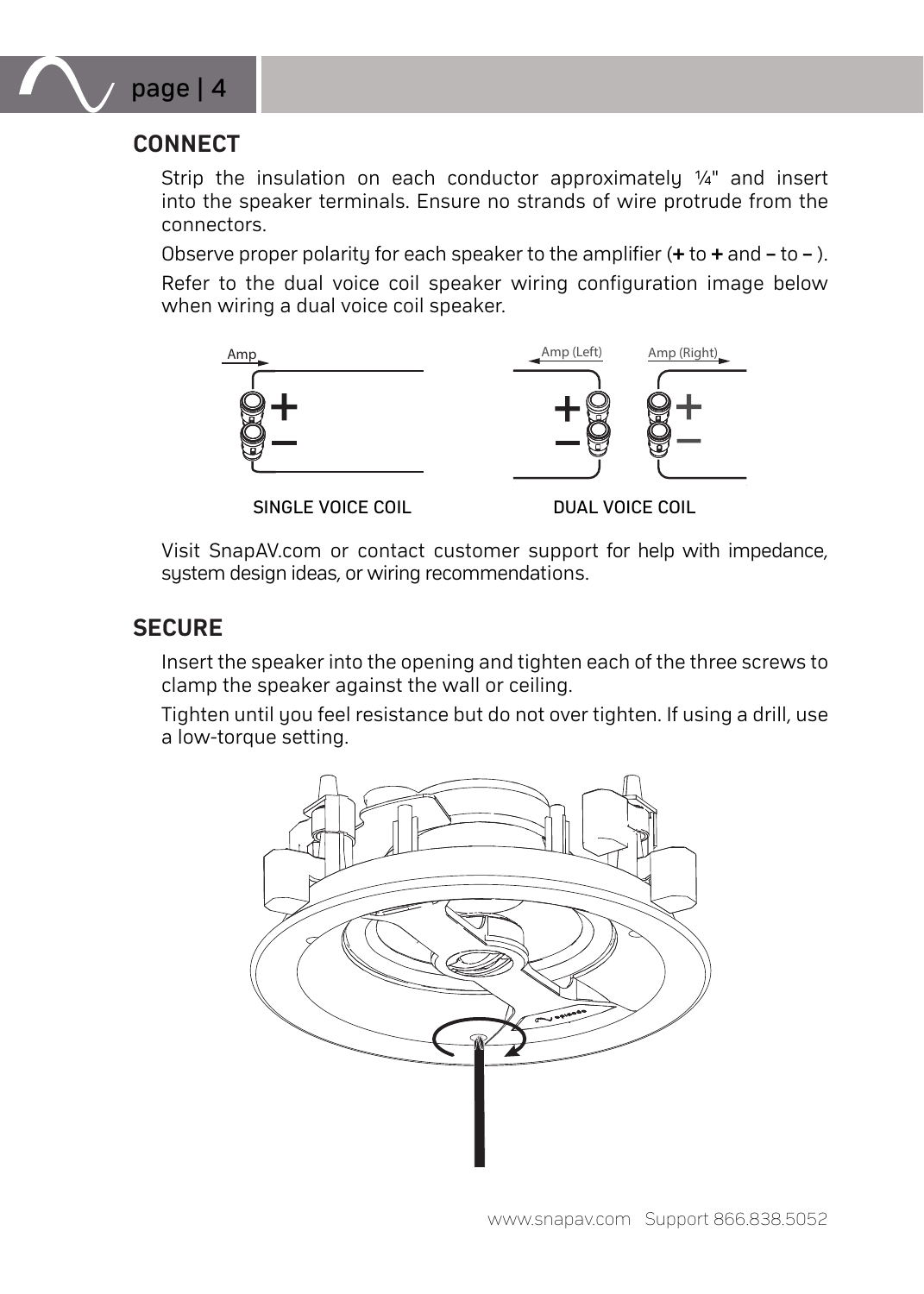

# **CONNECT**

Strip the insulation on each conductor approximately ¼" and insert into the speaker terminals. Ensure no strands of wire protrude from the connectors.

Observe proper polarity for each speaker to the amplifier (**+** to **+** and **–** to **–** ). Refer to the dual voice coil speaker wiring configuration image below when wiring a dual voice coil speaker.



Visit SnapAV.com or contact customer support for help with impedance, system design ideas, or wiring recommendations.

# **SECURE**

Insert the speaker into the opening and tighten each of the three screws to clamp the speaker against the wall or ceiling.

Tighten until you feel resistance but do not over tighten. If using a drill, use a low-torque setting.

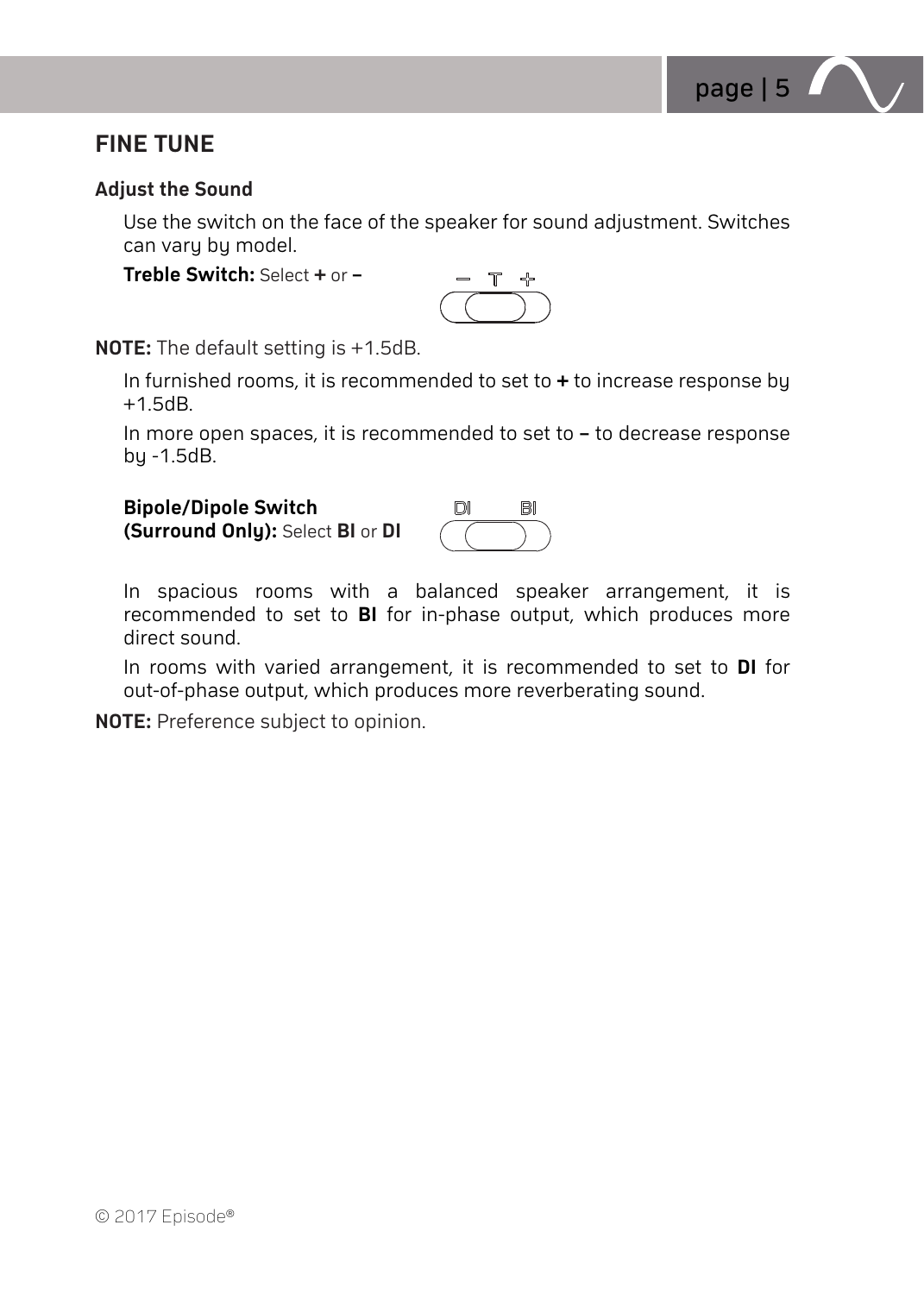

# **FINE TUNE**

### **Adjust the Sound**

Use the switch on the face of the speaker for sound adjustment. Switches can vary by model.

**Treble Switch:** Select **+** or **–**

$$
\overset{\circ}{\text{--}\,}^{\text{+}}
$$

**NOTE:** The default setting is +1.5dB.

In furnished rooms, it is recommended to set to **+** to increase response by +1.5dB.

In more open spaces, it is recommended to set to **–** to decrease response by -1.5dB.

| <b>Bipole/Dipole Switch</b>      | mi | BI |
|----------------------------------|----|----|
| (Surround Only): Select BI or DI |    |    |

In spacious rooms with a balanced speaker arrangement, it is recommended to set to **BI** for in-phase output, which produces more direct sound.

In rooms with varied arrangement, it is recommended to set to **DI** for out-of-phase output, which produces more reverberating sound.

**NOTE:** Preference subject to opinion.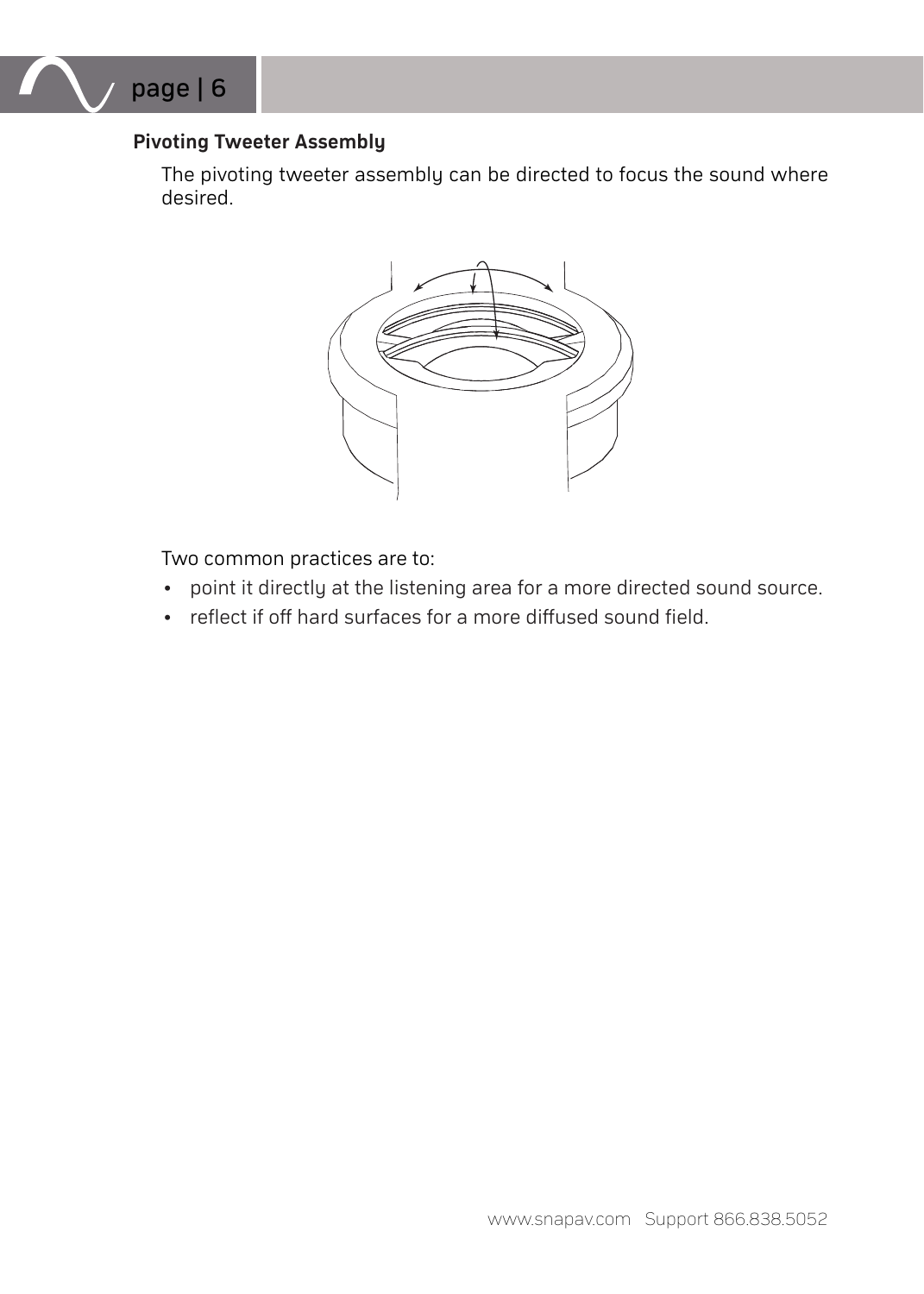

### **Pivoting Tweeter Assembly**

The pivoting tweeter assembly can be directed to focus the sound where desired.



Two common practices are to:

- point it directly at the listening area for a more directed sound source.
- reflect if off hard surfaces for a more diffused sound field.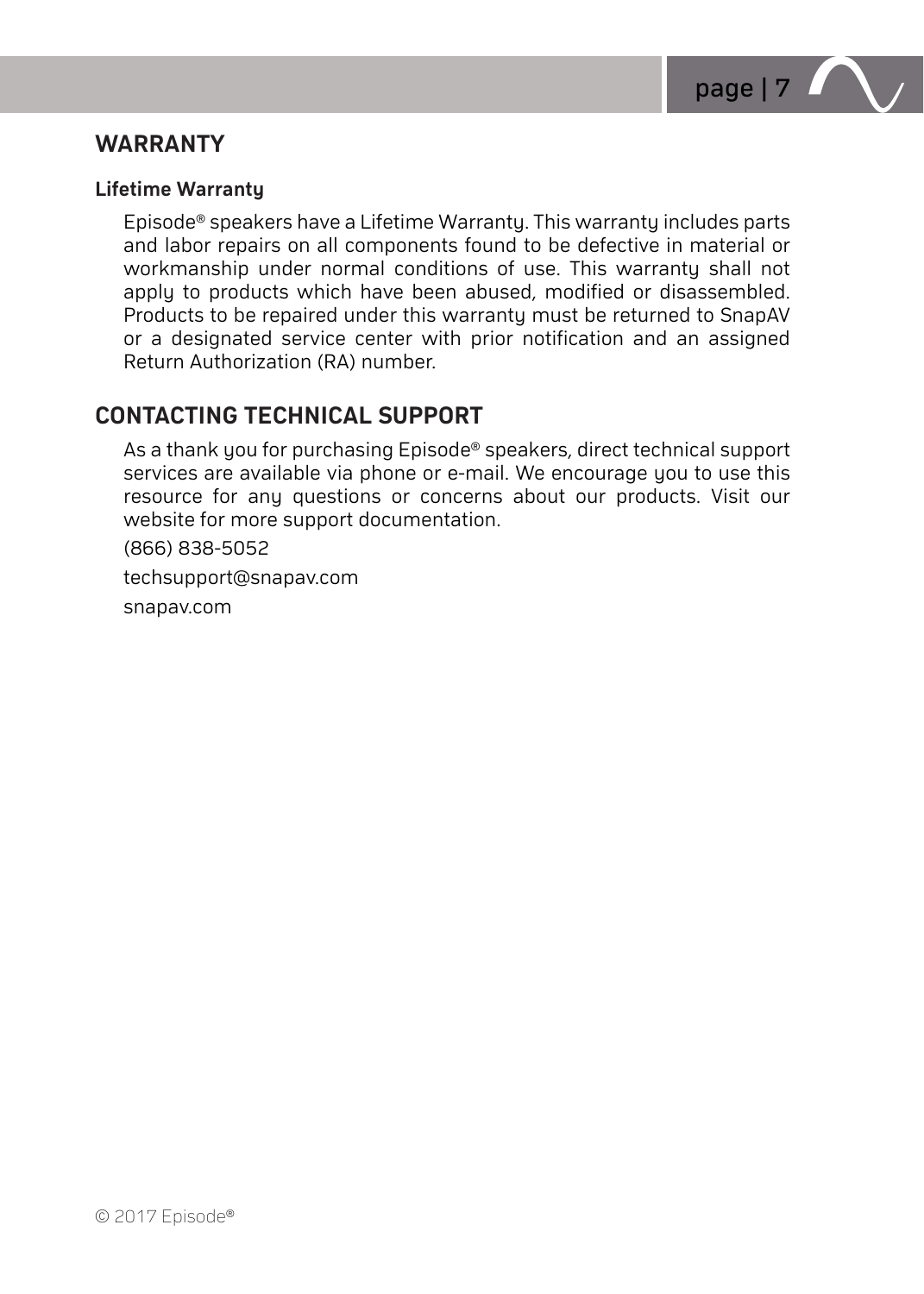

## **WARRANTY**

#### **Lifetime Warranty**

Episode® speakers have a Lifetime Warranty. This warranty includes parts and labor repairs on all components found to be defective in material or workmanship under normal conditions of use. This warranty shall not apply to products which have been abused, modified or disassembled. Products to be repaired under this warranty must be returned to SnapAV or a designated service center with prior notification and an assigned Return Authorization (RA) number.

## **CONTACTING TECHNICAL SUPPORT**

As a thank you for purchasing Episode® speakers, direct technical support services are available via phone or e-mail. We encourage you to use this resource for any questions or concerns about our products. Visit our website for more support documentation.

(866) 838-5052

techsupport@snapav.com

snapav.com